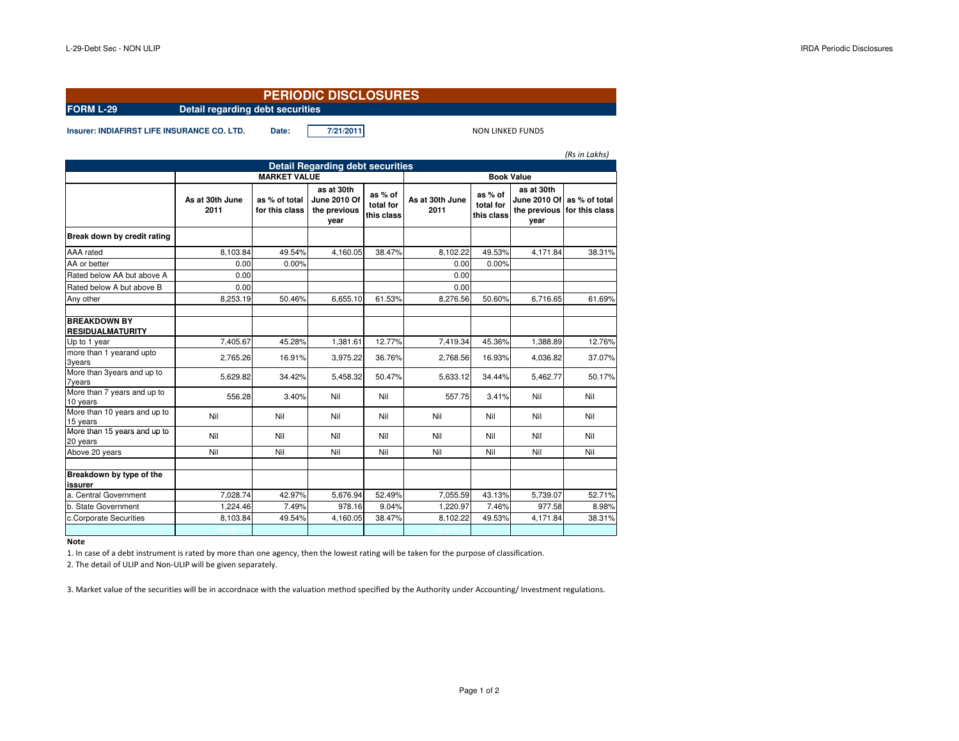| <b>PERIODIC DISCLOSURES</b>                          |                                                                                     |                                 |                                                    |                                    |                         |                                    |                                                           |                                 |  |  |  |  |
|------------------------------------------------------|-------------------------------------------------------------------------------------|---------------------------------|----------------------------------------------------|------------------------------------|-------------------------|------------------------------------|-----------------------------------------------------------|---------------------------------|--|--|--|--|
| Detail regarding debt securities<br><b>FORM L-29</b> |                                                                                     |                                 |                                                    |                                    |                         |                                    |                                                           |                                 |  |  |  |  |
| <b>Insurer: INDIAFIRST LIFE INSURANCE CO. LTD.</b>   |                                                                                     | Date:                           | 7/21/2011                                          |                                    |                         | <b>NON LINKED FUNDS</b>            |                                                           |                                 |  |  |  |  |
|                                                      |                                                                                     |                                 |                                                    |                                    |                         |                                    |                                                           | (Rs in Lakhs)                   |  |  |  |  |
|                                                      | <b>Detail Regarding debt securities</b><br><b>MARKET VALUE</b><br><b>Book Value</b> |                                 |                                                    |                                    |                         |                                    |                                                           |                                 |  |  |  |  |
|                                                      | As at 30th June<br>2011                                                             | as % of total<br>for this class | as at 30th<br>June 2010 Of<br>the previous<br>year | as % of<br>total for<br>this class | As at 30th June<br>2011 | as % of<br>total for<br>this class | as at 30th<br><b>June 2010 Of</b><br>the previous<br>year | as % of total<br>for this class |  |  |  |  |
| Break down by credit rating                          |                                                                                     |                                 |                                                    |                                    |                         |                                    |                                                           |                                 |  |  |  |  |
| AAA rated                                            | 8,103.84                                                                            | 49.54%                          | 4.160.05                                           | 38.47%                             | 8.102.22                | 49.53%                             | 4.171.84                                                  | 38.31%                          |  |  |  |  |
| AA or better                                         | 0.00                                                                                | 0.00%                           |                                                    |                                    | 0.00                    | 0.00%                              |                                                           |                                 |  |  |  |  |
| Rated below AA but above A                           | 0.00                                                                                |                                 |                                                    |                                    | 0.00                    |                                    |                                                           |                                 |  |  |  |  |
| Rated below A but above B                            | 0.00                                                                                |                                 |                                                    |                                    | 0.00                    |                                    |                                                           |                                 |  |  |  |  |
| Any other                                            | 8,253.19                                                                            | 50.46%                          | 6,655.10                                           | 61.53%                             | 8,276.56                | 50.60%                             | 6,716.65                                                  | 61.69%                          |  |  |  |  |
| <b>BREAKDOWN BY</b><br><b>RESIDUALMATURITY</b>       |                                                                                     |                                 |                                                    |                                    |                         |                                    |                                                           |                                 |  |  |  |  |
| Up to 1 year                                         | 7,405.67                                                                            | 45.28%                          | 1,381.61                                           | 12.77%                             | 7,419.34                | 45.36%                             | 1,388.89                                                  | 12.76%                          |  |  |  |  |
| more than 1 yearand upto<br>3years                   | 2.765.26                                                                            | 16.91%                          | 3,975.22                                           | 36.76%                             | 2.768.56                | 16.93%                             | 4.036.82                                                  | 37.07%                          |  |  |  |  |
| More than 3years and up to<br><b>7years</b>          | 5,629.82                                                                            | 34.42%                          | 5,458.32                                           | 50.47%                             | 5,633.12                | 34.44%                             | 5,462.77                                                  | 50.17%                          |  |  |  |  |
| More than 7 years and up to<br>10 years              | 556.28                                                                              | 3.40%                           | Nil                                                | Nil                                | 557.75                  | 3.41%                              | Nil                                                       | Nil                             |  |  |  |  |
| More than 10 years and up to<br>15 years             | Nil                                                                                 | Nil                             | Nil                                                | Nil                                | Nil                     | Nil                                | Nil                                                       | Nil                             |  |  |  |  |
| More than 15 years and up to<br>20 years             | Nil                                                                                 | Nil                             | Nil                                                | Nil                                | Nil                     | Nil                                | Nil                                                       | Nil                             |  |  |  |  |
| Above 20 years                                       | Nil                                                                                 | Nil                             | Nil                                                | Nil                                | Nil                     | Nil                                | Nil                                                       | Nil                             |  |  |  |  |
| Breakdown by type of the<br>issurer                  |                                                                                     |                                 |                                                    |                                    |                         |                                    |                                                           |                                 |  |  |  |  |
| a. Central Government                                | 7,028.74                                                                            | 42.97%                          | 5,676.94                                           | 52.49%                             | 7,055.59                | 43.13%                             | 5,739.07                                                  | 52.71%                          |  |  |  |  |
| b. State Government                                  | 1,224.46                                                                            | 7.49%                           | 978.16                                             | 9.04%                              | 1,220.97                | 7.46%                              | 977.58                                                    | 8.98%                           |  |  |  |  |
| c.Corporate Securities                               | 8,103.84                                                                            | 49.54%                          | 4,160.05                                           | 38.47%                             | 8,102.22                | 49.53%                             | 4,171.84                                                  | 38.31%                          |  |  |  |  |
|                                                      |                                                                                     |                                 |                                                    |                                    |                         |                                    |                                                           |                                 |  |  |  |  |

## **Note**

1. In case of a debt instrument is rated by more than one agency, then the lowest rating will be taken for the purpose of classification.

2. The detail of ULIP and Non-ULIP will be given separately.

3. Market value of the securities will be in accordnace with the valuation method specified by the Authority under Accounting/ Investment regulations.